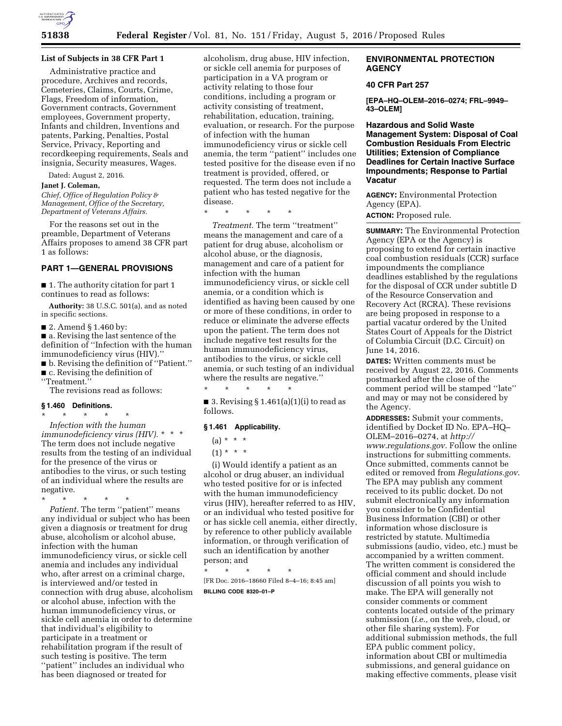

### **List of Subjects in 38 CFR Part 1**

Administrative practice and procedure, Archives and records, Cemeteries, Claims, Courts, Crime, Flags, Freedom of information, Government contracts, Government employees, Government property, Infants and children, Inventions and patents, Parking, Penalties, Postal Service, Privacy, Reporting and recordkeeping requirements, Seals and insignia, Security measures, Wages.

Dated: August 2, 2016.

**Janet J. Coleman,** 

*Chief, Office of Regulation Policy & Management, Office of the Secretary, Department of Veterans Affairs.* 

For the reasons set out in the preamble, Department of Veterans Affairs proposes to amend 38 CFR part 1 as follows:

# **PART 1—GENERAL PROVISIONS**

■ 1. The authority citation for part 1 continues to read as follows:

**Authority:** 38 U.S.C. 501(a), and as noted in specific sections.

■ 2. Amend § 1.460 by:

■ a. Revising the last sentence of the definition of ''Infection with the human immunodeficiency virus (HIV).'' ■ b. Revising the definition of ''Patient.'' ■ c. Revising the definition of ''Treatment.''

The revisions read as follows:

#### **§ 1.460 Definitions.**

\* \* \* \* \* *Infection with the human immunodeficiency virus (HIV).* \* \* \* The term does not include negative results from the testing of an individual for the presence of the virus or antibodies to the virus, or such testing of an individual where the results are negative.

\* \* \* \* \* *Patient.* The term ''patient'' means any individual or subject who has been given a diagnosis or treatment for drug abuse, alcoholism or alcohol abuse, infection with the human immunodeficiency virus, or sickle cell anemia and includes any individual who, after arrest on a criminal charge, is interviewed and/or tested in connection with drug abuse, alcoholism or alcohol abuse, infection with the human immunodeficiency virus, or sickle cell anemia in order to determine that individual's eligibility to participate in a treatment or rehabilitation program if the result of such testing is positive. The term ''patient'' includes an individual who has been diagnosed or treated for

alcoholism, drug abuse, HIV infection, or sickle cell anemia for purposes of participation in a VA program or activity relating to those four conditions, including a program or activity consisting of treatment, rehabilitation, education, training, evaluation, or research. For the purpose of infection with the human immunodeficiency virus or sickle cell anemia, the term ''patient'' includes one tested positive for the disease even if no treatment is provided, offered, or requested. The term does not include a patient who has tested negative for the disease.

\* \* \* \* \*

*Treatment.* The term ''treatment'' means the management and care of a patient for drug abuse, alcoholism or alcohol abuse, or the diagnosis, management and care of a patient for infection with the human immunodeficiency virus, or sickle cell anemia, or a condition which is identified as having been caused by one or more of these conditions, in order to reduce or eliminate the adverse effects upon the patient. The term does not include negative test results for the human immunodeficiency virus, antibodies to the virus, or sickle cell anemia, or such testing of an individual where the results are negative.''

■ 3. Revising §  $1.461(a)(1)(i)$  to read as follows.

#### **§ 1.461 Applicability.**

\* \* \* \* \*

 $(a) * * * *$ 

 $(1) * * * *$ 

(i) Would identify a patient as an alcohol or drug abuser, an individual who tested positive for or is infected with the human immunodeficiency virus (HIV), hereafter referred to as HIV, or an individual who tested positive for or has sickle cell anemia, either directly, by reference to other publicly available information, or through verification of such an identification by another person; and

\* \* \* \* \* [FR Doc. 2016–18660 Filed 8–4–16; 8:45 am]

**BILLING CODE 8320–01–P** 

### **ENVIRONMENTAL PROTECTION AGENCY**

### **40 CFR Part 257**

**[EPA–HQ–OLEM–2016–0274; FRL–9949– 43–OLEM]** 

**Hazardous and Solid Waste Management System: Disposal of Coal Combustion Residuals From Electric Utilities; Extension of Compliance Deadlines for Certain Inactive Surface Impoundments; Response to Partial Vacatur** 

**AGENCY:** Environmental Protection Agency (EPA).

**ACTION:** Proposed rule.

**SUMMARY:** The Environmental Protection Agency (EPA or the Agency) is proposing to extend for certain inactive coal combustion residuals (CCR) surface impoundments the compliance deadlines established by the regulations for the disposal of CCR under subtitle D of the Resource Conservation and Recovery Act (RCRA). These revisions are being proposed in response to a partial vacatur ordered by the United States Court of Appeals for the District of Columbia Circuit (D.C. Circuit) on June 14, 2016.

**DATES:** Written comments must be received by August 22, 2016. Comments postmarked after the close of the comment period will be stamped ''late'' and may or may not be considered by the Agency.

**ADDRESSES:** Submit your comments, identified by Docket ID No. EPA–HQ– OLEM–2016–0274, at *[http://](http://www.regulations.gov)  [www.regulations.gov.](http://www.regulations.gov)* Follow the online instructions for submitting comments. Once submitted, comments cannot be edited or removed from *Regulations.gov*. The EPA may publish any comment received to its public docket. Do not submit electronically any information you consider to be Confidential Business Information (CBI) or other information whose disclosure is restricted by statute. Multimedia submissions (audio, video, etc.) must be accompanied by a written comment. The written comment is considered the official comment and should include discussion of all points you wish to make. The EPA will generally not consider comments or comment contents located outside of the primary submission (*i.e.,* on the web, cloud, or other file sharing system). For additional submission methods, the full EPA public comment policy, information about CBI or multimedia submissions, and general guidance on making effective comments, please visit